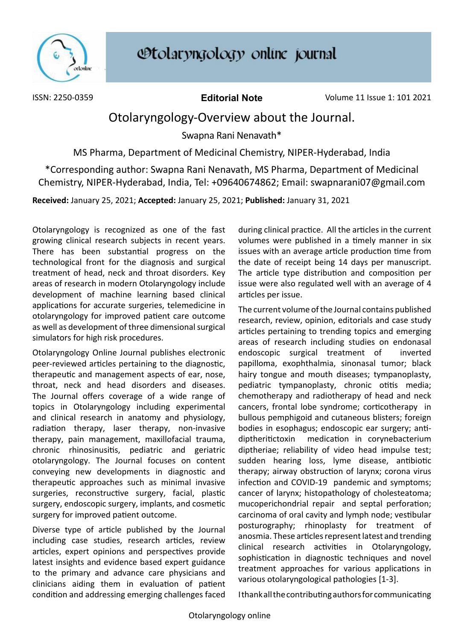

ISSN: 2250-0359 **Editorial Note** Volume 11 Issue 1: 101 2021

## Otolaryngology-Overview about the Journal.

Swapna Rani Nenavath\*

MS Pharma, Department of Medicinal Chemistry, NIPER-Hyderabad, India

\*Corresponding author: Swapna Rani Nenavath, MS Pharma, Department of Medicinal Chemistry, NIPER-Hyderabad, India, Tel: +09640674862; Email: [swapnarani07@gmail.com](mailto:swapnarani07@gmail.com)

**Received:** January 25, 2021; **Accepted:** January 25, 2021; **Published:** January 31, 2021

Otolaryngology is recognized as one of the fast growing clinical research subjects in recent years. There has been substantial progress on the technological front for the diagnosis and surgical treatment of head, neck and throat disorders. Key areas of research in modern Otolaryngology include development of machine learning based clinical applications for accurate surgeries, telemedicine in otolaryngology for improved patient care outcome as well as development of three dimensional surgical simulators for high risk procedures.

Otolaryngology Online Journal publishes electronic peer-reviewed articles pertaining to the diagnostic, therapeutic and management aspects of ear, nose, throat, neck and head disorders and diseases. The Journal offers coverage of a wide range of topics in Otolaryngology including experimental and clinical research in anatomy and physiology, radiation therapy, laser therapy, non-invasive therapy, pain management, maxillofacial trauma, chronic rhinosinusitis, pediatric and geriatric otolaryngology. The Journal focuses on content conveying new developments in diagnostic and therapeutic approaches such as minimal invasive surgeries, reconstructive surgery, facial, plastic surgery, endoscopic surgery, implants, and cosmetic surgery for improved patient outcome.

Diverse type of article published by the Journal including case studies, research articles, review articles, expert opinions and perspectives provide latest insights and evidence based expert guidance to the primary and advance care physicians and clinicians aiding them in evaluation of patient condition and addressing emerging challenges faced during clinical practice. All the articles in the current volumes were published in a timely manner in six issues with an average article production time from the date of receipt being 14 days per manuscript. The article type distribution and composition per issue were also regulated well with an average of 4 articles per issue.

The current volume of the Journal contains published research, review, opinion, editorials and case study articles pertaining to trending topics and emerging areas of research including studies on endonasal endoscopic surgical treatment of inverted papilloma, exophthalmia, sinonasal tumor; black hairy tongue and mouth diseases; tympanoplasty, pediatric tympanoplasty, chronic otitis media; chemotherapy and radiotherapy of head and neck cancers, frontal lobe syndrome; corticotherapy in bullous pemphigoid and cutaneous blisters; foreign bodies in esophagus; endoscopic ear surgery; antidiptheritictoxin medication in corynebacterium diptheriae; reliability of video head impulse test; sudden hearing loss, lyme disease, antibiotic therapy; airway obstruction of larynx; corona virus infection and COVID-19 pandemic and symptoms; cancer of larynx; histopathology of cholesteatoma; mucoperichondrial repair and septal perforation; carcinoma of oral cavity and lymph node; vestibular posturography; rhinoplasty for treatment of anosmia. These articles represent latest and trending clinical research activities in Otolaryngology, sophistication in diagnostic techniques and novel treatment approaches for various applications in various otolaryngological pathologies [1-3].

I thank all the contributing authors for communicating